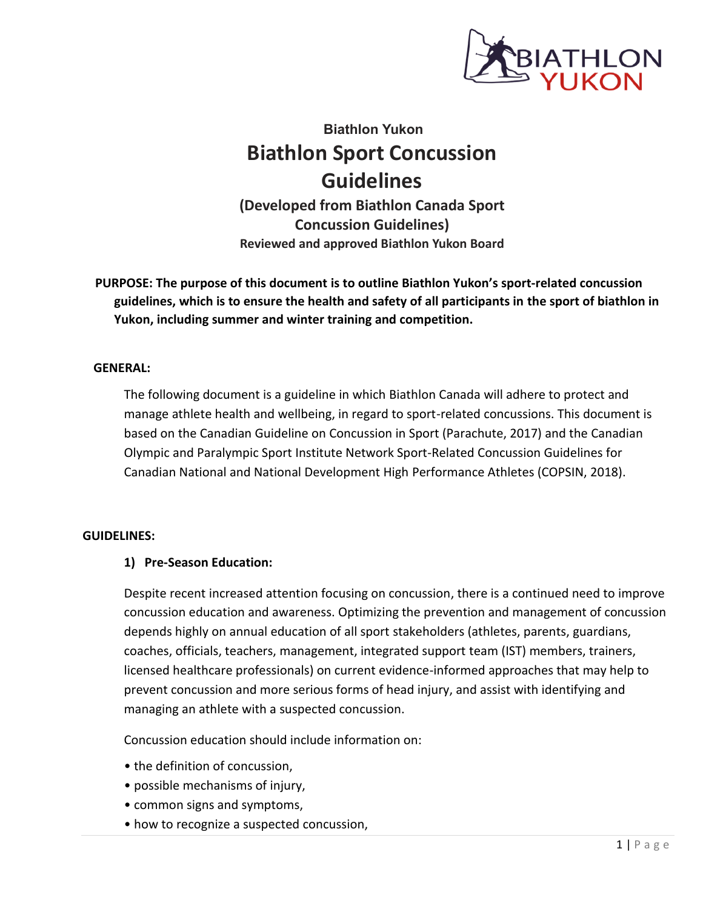

# **Biathlon Yukon Biathlon Sport Concussion Guidelines**

**(Developed from Biathlon Canada Sport Concussion Guidelines) Reviewed and approved Biathlon Yukon Board**

**PURPOSE: The purpose of this document is to outline Biathlon Yukon's sport-related concussion guidelines, which is to ensure the health and safety of all participants in the sport of biathlon in Yukon, including summer and winter training and competition.**

#### **GENERAL:**

The following document is a guideline in which Biathlon Canada will adhere to protect and manage athlete health and wellbeing, in regard to sport-related concussions. This document is based on the Canadian Guideline on Concussion in Sport (Parachute, 2017) and the Canadian Olympic and Paralympic Sport Institute Network Sport-Related Concussion Guidelines for Canadian National and National Development High Performance Athletes (COPSIN, 2018).

#### **GUIDELINES:**

#### **1) Pre-Season Education:**

Despite recent increased attention focusing on concussion, there is a continued need to improve concussion education and awareness. Optimizing the prevention and management of concussion depends highly on annual education of all sport stakeholders (athletes, parents, guardians, coaches, officials, teachers, management, integrated support team (IST) members, trainers, licensed healthcare professionals) on current evidence-informed approaches that may help to prevent concussion and more serious forms of head injury, and assist with identifying and managing an athlete with a suspected concussion.

Concussion education should include information on:

- the definition of concussion,
- possible mechanisms of injury,
- common signs and symptoms,
- how to recognize a suspected concussion,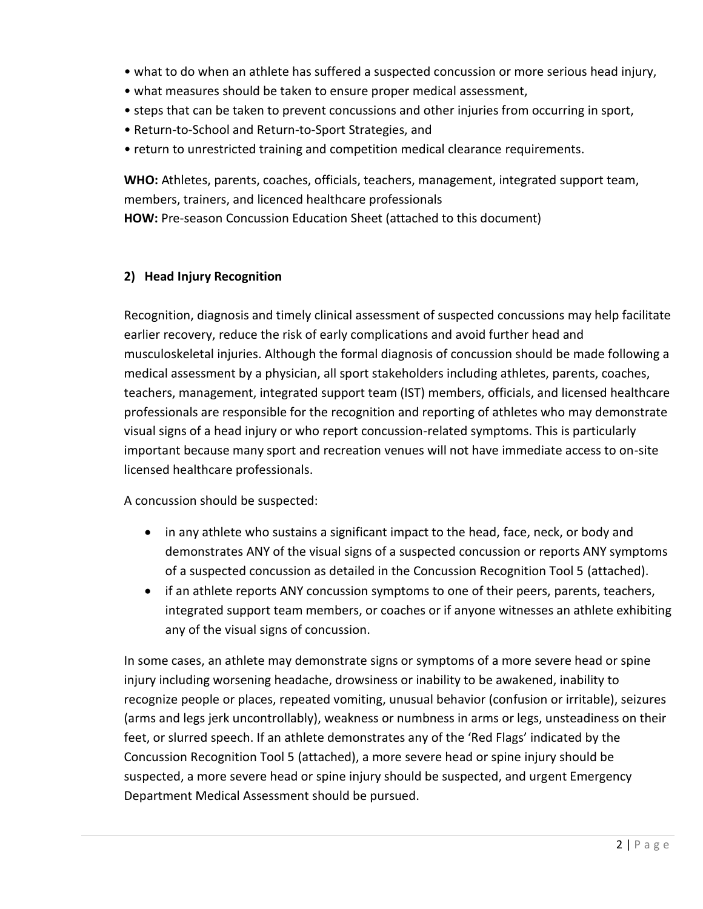- what to do when an athlete has suffered a suspected concussion or more serious head injury,
- what measures should be taken to ensure proper medical assessment,
- steps that can be taken to prevent concussions and other injuries from occurring in sport,
- Return-to-School and Return-to-Sport Strategies, and
- return to unrestricted training and competition medical clearance requirements.

**WHO:** Athletes, parents, coaches, officials, teachers, management, integrated support team, members, trainers, and licenced healthcare professionals

**HOW:** Pre-season Concussion Education Sheet (attached to this document)

# **2) Head Injury Recognition**

Recognition, diagnosis and timely clinical assessment of suspected concussions may help facilitate earlier recovery, reduce the risk of early complications and avoid further head and musculoskeletal injuries. Although the formal diagnosis of concussion should be made following a medical assessment by a physician, all sport stakeholders including athletes, parents, coaches, teachers, management, integrated support team (IST) members, officials, and licensed healthcare professionals are responsible for the recognition and reporting of athletes who may demonstrate visual signs of a head injury or who report concussion-related symptoms. This is particularly important because many sport and recreation venues will not have immediate access to on-site licensed healthcare professionals.

A concussion should be suspected:

- in any athlete who sustains a significant impact to the head, face, neck, or body and demonstrates ANY of the visual signs of a suspected concussion or reports ANY symptoms of a suspected concussion as detailed in the Concussion Recognition Tool 5 (attached).
- if an athlete reports ANY concussion symptoms to one of their peers, parents, teachers, integrated support team members, or coaches or if anyone witnesses an athlete exhibiting any of the visual signs of concussion.

In some cases, an athlete may demonstrate signs or symptoms of a more severe head or spine injury including worsening headache, drowsiness or inability to be awakened, inability to recognize people or places, repeated vomiting, unusual behavior (confusion or irritable), seizures (arms and legs jerk uncontrollably), weakness or numbness in arms or legs, unsteadiness on their feet, or slurred speech. If an athlete demonstrates any of the 'Red Flags' indicated by the Concussion Recognition Tool 5 (attached), a more severe head or spine injury should be suspected, a more severe head or spine injury should be suspected, and urgent Emergency Department Medical Assessment should be pursued.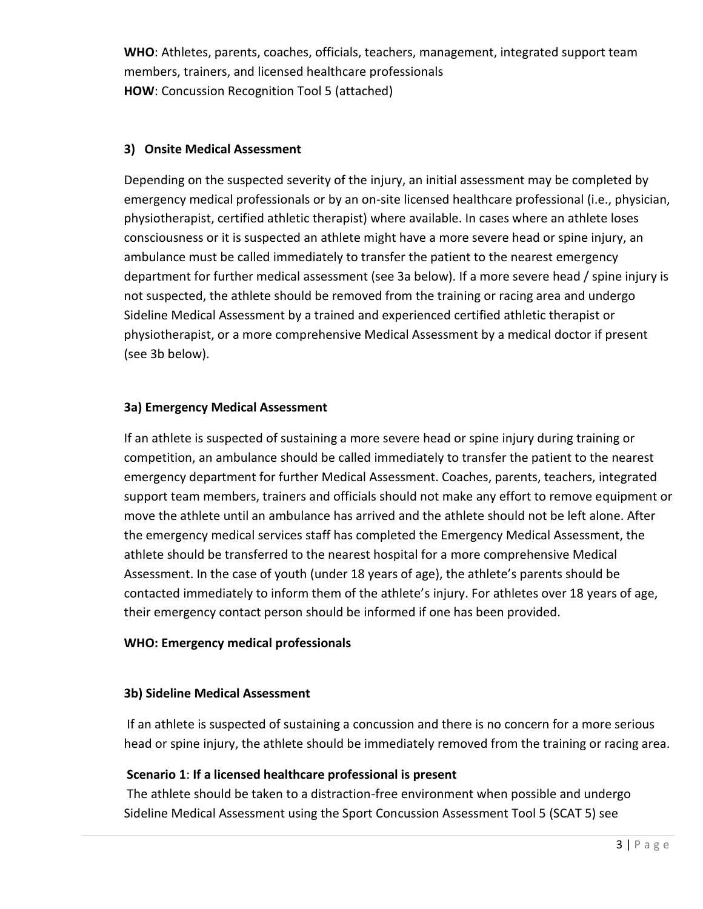**WHO**: Athletes, parents, coaches, officials, teachers, management, integrated support team members, trainers, and licensed healthcare professionals **HOW**: Concussion Recognition Tool 5 (attached)

#### **3) Onsite Medical Assessment**

Depending on the suspected severity of the injury, an initial assessment may be completed by emergency medical professionals or by an on-site licensed healthcare professional (i.e., physician, physiotherapist, certified athletic therapist) where available. In cases where an athlete loses consciousness or it is suspected an athlete might have a more severe head or spine injury, an ambulance must be called immediately to transfer the patient to the nearest emergency department for further medical assessment (see 3a below). If a more severe head / spine injury is not suspected, the athlete should be removed from the training or racing area and undergo Sideline Medical Assessment by a trained and experienced certified athletic therapist or physiotherapist, or a more comprehensive Medical Assessment by a medical doctor if present (see 3b below).

#### **3a) Emergency Medical Assessment**

If an athlete is suspected of sustaining a more severe head or spine injury during training or competition, an ambulance should be called immediately to transfer the patient to the nearest emergency department for further Medical Assessment. Coaches, parents, teachers, integrated support team members, trainers and officials should not make any effort to remove equipment or move the athlete until an ambulance has arrived and the athlete should not be left alone. After the emergency medical services staff has completed the Emergency Medical Assessment, the athlete should be transferred to the nearest hospital for a more comprehensive Medical Assessment. In the case of youth (under 18 years of age), the athlete's parents should be contacted immediately to inform them of the athlete's injury. For athletes over 18 years of age, their emergency contact person should be informed if one has been provided.

#### **WHO: Emergency medical professionals**

#### **3b) Sideline Medical Assessment**

If an athlete is suspected of sustaining a concussion and there is no concern for a more serious head or spine injury, the athlete should be immediately removed from the training or racing area.

#### **Scenario 1**: **If a licensed healthcare professional is present**

The athlete should be taken to a distraction-free environment when possible and undergo Sideline Medical Assessment using the Sport Concussion Assessment Tool 5 (SCAT 5) see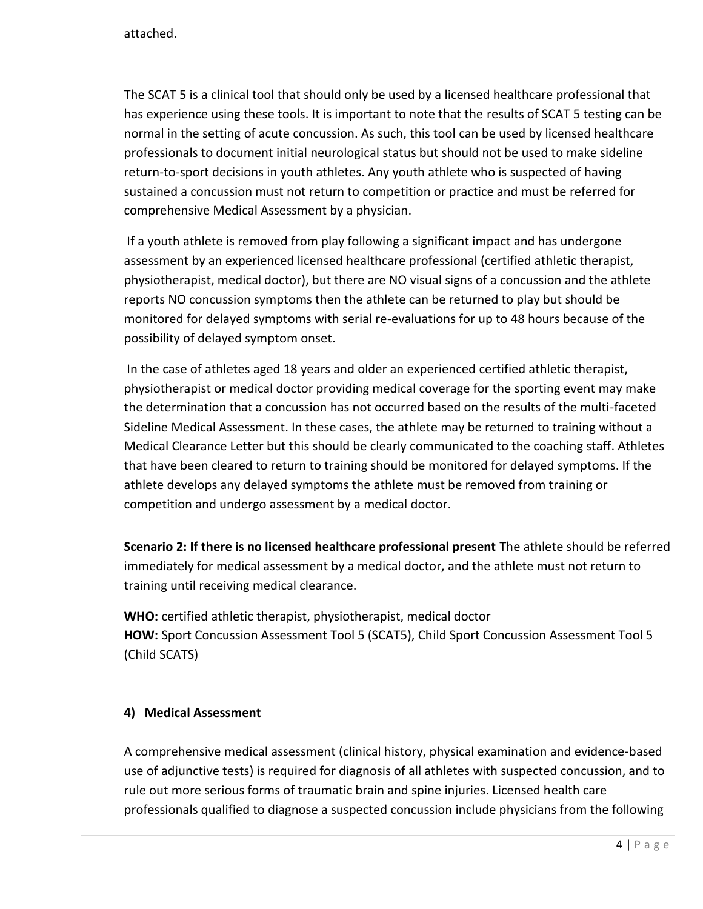attached.

The SCAT 5 is a clinical tool that should only be used by a licensed healthcare professional that has experience using these tools. It is important to note that the results of SCAT 5 testing can be normal in the setting of acute concussion. As such, this tool can be used by licensed healthcare professionals to document initial neurological status but should not be used to make sideline return-to-sport decisions in youth athletes. Any youth athlete who is suspected of having sustained a concussion must not return to competition or practice and must be referred for comprehensive Medical Assessment by a physician.

If a youth athlete is removed from play following a significant impact and has undergone assessment by an experienced licensed healthcare professional (certified athletic therapist, physiotherapist, medical doctor), but there are NO visual signs of a concussion and the athlete reports NO concussion symptoms then the athlete can be returned to play but should be monitored for delayed symptoms with serial re-evaluations for up to 48 hours because of the possibility of delayed symptom onset.

In the case of athletes aged 18 years and older an experienced certified athletic therapist, physiotherapist or medical doctor providing medical coverage for the sporting event may make the determination that a concussion has not occurred based on the results of the multi-faceted Sideline Medical Assessment. In these cases, the athlete may be returned to training without a Medical Clearance Letter but this should be clearly communicated to the coaching staff. Athletes that have been cleared to return to training should be monitored for delayed symptoms. If the athlete develops any delayed symptoms the athlete must be removed from training or competition and undergo assessment by a medical doctor.

**Scenario 2: If there is no licensed healthcare professional present** The athlete should be referred immediately for medical assessment by a medical doctor, and the athlete must not return to training until receiving medical clearance.

**WHO:** certified athletic therapist, physiotherapist, medical doctor **HOW:** Sport Concussion Assessment Tool 5 (SCAT5), Child Sport Concussion Assessment Tool 5 (Child SCATS)

## **4) Medical Assessment**

A comprehensive medical assessment (clinical history, physical examination and evidence-based use of adjunctive tests) is required for diagnosis of all athletes with suspected concussion, and to rule out more serious forms of traumatic brain and spine injuries. Licensed health care professionals qualified to diagnose a suspected concussion include physicians from the following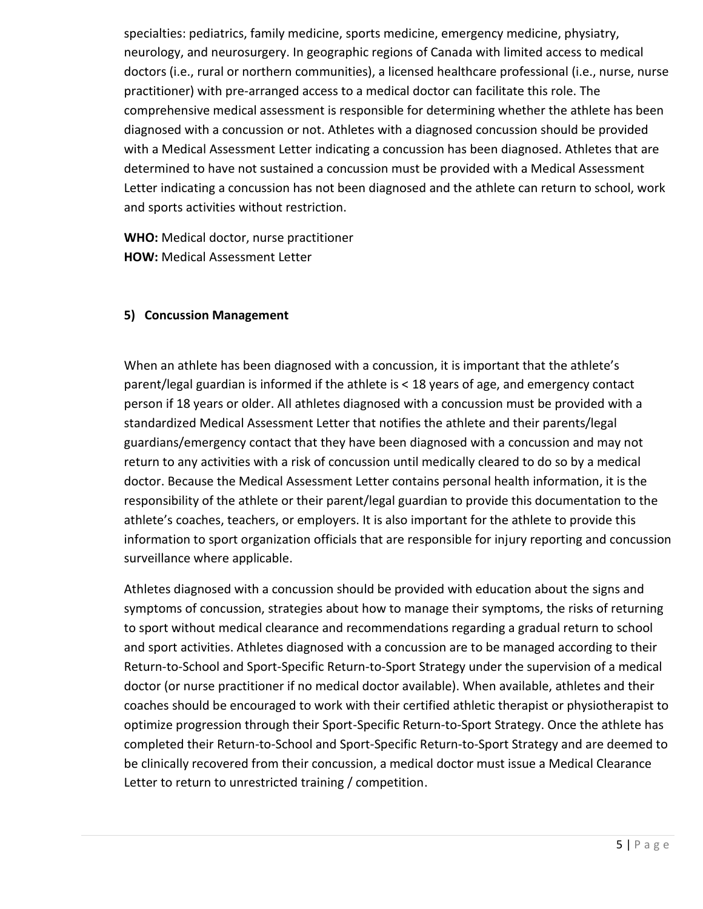specialties: pediatrics, family medicine, sports medicine, emergency medicine, physiatry, neurology, and neurosurgery. In geographic regions of Canada with limited access to medical doctors (i.e., rural or northern communities), a licensed healthcare professional (i.e., nurse, nurse practitioner) with pre-arranged access to a medical doctor can facilitate this role. The comprehensive medical assessment is responsible for determining whether the athlete has been diagnosed with a concussion or not. Athletes with a diagnosed concussion should be provided with a Medical Assessment Letter indicating a concussion has been diagnosed. Athletes that are determined to have not sustained a concussion must be provided with a Medical Assessment Letter indicating a concussion has not been diagnosed and the athlete can return to school, work and sports activities without restriction.

**WHO:** Medical doctor, nurse practitioner **HOW:** Medical Assessment Letter

#### **5) Concussion Management**

When an athlete has been diagnosed with a concussion, it is important that the athlete's parent/legal guardian is informed if the athlete is < 18 years of age, and emergency contact person if 18 years or older. All athletes diagnosed with a concussion must be provided with a standardized Medical Assessment Letter that notifies the athlete and their parents/legal guardians/emergency contact that they have been diagnosed with a concussion and may not return to any activities with a risk of concussion until medically cleared to do so by a medical doctor. Because the Medical Assessment Letter contains personal health information, it is the responsibility of the athlete or their parent/legal guardian to provide this documentation to the athlete's coaches, teachers, or employers. It is also important for the athlete to provide this information to sport organization officials that are responsible for injury reporting and concussion surveillance where applicable.

Athletes diagnosed with a concussion should be provided with education about the signs and symptoms of concussion, strategies about how to manage their symptoms, the risks of returning to sport without medical clearance and recommendations regarding a gradual return to school and sport activities. Athletes diagnosed with a concussion are to be managed according to their Return-to-School and Sport-Specific Return-to-Sport Strategy under the supervision of a medical doctor (or nurse practitioner if no medical doctor available). When available, athletes and their coaches should be encouraged to work with their certified athletic therapist or physiotherapist to optimize progression through their Sport-Specific Return-to-Sport Strategy. Once the athlete has completed their Return-to-School and Sport-Specific Return-to-Sport Strategy and are deemed to be clinically recovered from their concussion, a medical doctor must issue a Medical Clearance Letter to return to unrestricted training / competition.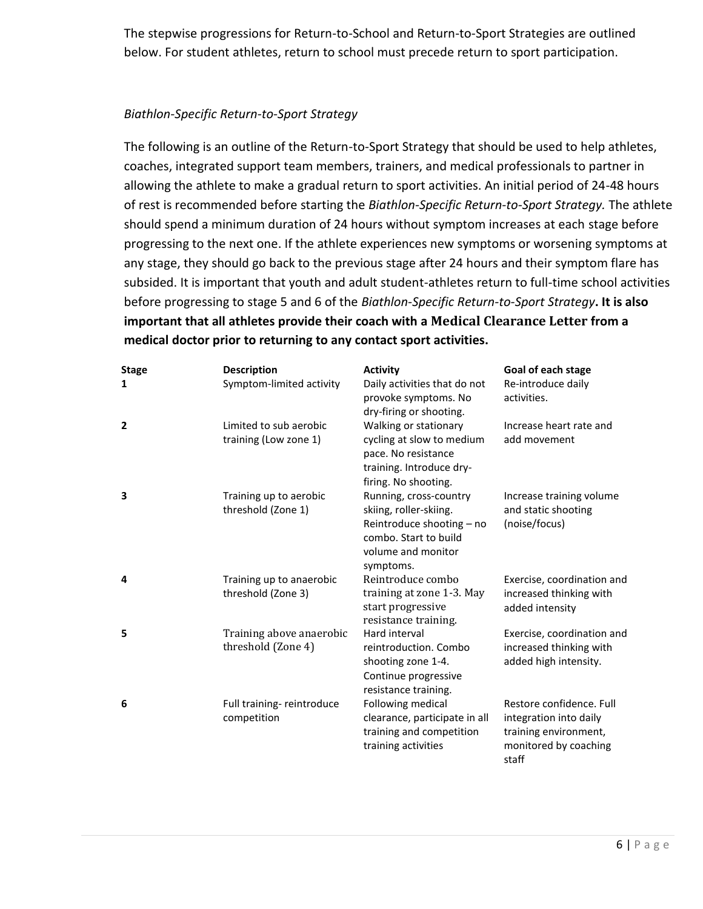The stepwise progressions for Return-to-School and Return-to-Sport Strategies are outlined below. For student athletes, return to school must precede return to sport participation.

#### *Biathlon-Specific Return-to-Sport Strategy*

The following is an outline of the Return-to-Sport Strategy that should be used to help athletes, coaches, integrated support team members, trainers, and medical professionals to partner in allowing the athlete to make a gradual return to sport activities. An initial period of 24-48 hours of rest is recommended before starting the *Biathlon-Specific Return-to-Sport Strategy.* The athlete should spend a minimum duration of 24 hours without symptom increases at each stage before progressing to the next one. If the athlete experiences new symptoms or worsening symptoms at any stage, they should go back to the previous stage after 24 hours and their symptom flare has subsided. It is important that youth and adult student-athletes return to full-time school activities before progressing to stage 5 and 6 of the *Biathlon-Specific Return-to-Sport Strategy***. It is also important that all athletes provide their coach with a Medical Clearance Letter from a medical doctor prior to returning to any contact sport activities.**

| <b>Stage</b><br>1 | <b>Description</b><br>Symptom-limited activity  | <b>Activity</b><br>Daily activities that do not<br>provoke symptoms. No<br>dry-firing or shooting.                                        | Goal of each stage<br>Re-introduce daily<br>activities.                                                       |
|-------------------|-------------------------------------------------|-------------------------------------------------------------------------------------------------------------------------------------------|---------------------------------------------------------------------------------------------------------------|
| $\mathbf{2}$      | Limited to sub aerobic<br>training (Low zone 1) | Walking or stationary<br>cycling at slow to medium<br>pace. No resistance<br>training. Introduce dry-<br>firing. No shooting.             | Increase heart rate and<br>add movement                                                                       |
| 3                 | Training up to aerobic<br>threshold (Zone 1)    | Running, cross-country<br>skiing, roller-skiing.<br>Reintroduce shooting - no<br>combo. Start to build<br>volume and monitor<br>symptoms. | Increase training volume<br>and static shooting<br>(noise/focus)                                              |
| 4                 | Training up to anaerobic<br>threshold (Zone 3)  | Reintroduce combo<br>training at zone 1-3. May<br>start progressive<br>resistance training.                                               | Exercise, coordination and<br>increased thinking with<br>added intensity                                      |
| 5                 | Training above anaerobic<br>threshold (Zone 4)  | Hard interval<br>reintroduction. Combo<br>shooting zone 1-4.<br>Continue progressive<br>resistance training.                              | Exercise, coordination and<br>increased thinking with<br>added high intensity.                                |
| 6                 | Full training-reintroduce<br>competition        | Following medical<br>clearance, participate in all<br>training and competition<br>training activities                                     | Restore confidence. Full<br>integration into daily<br>training environment,<br>monitored by coaching<br>staff |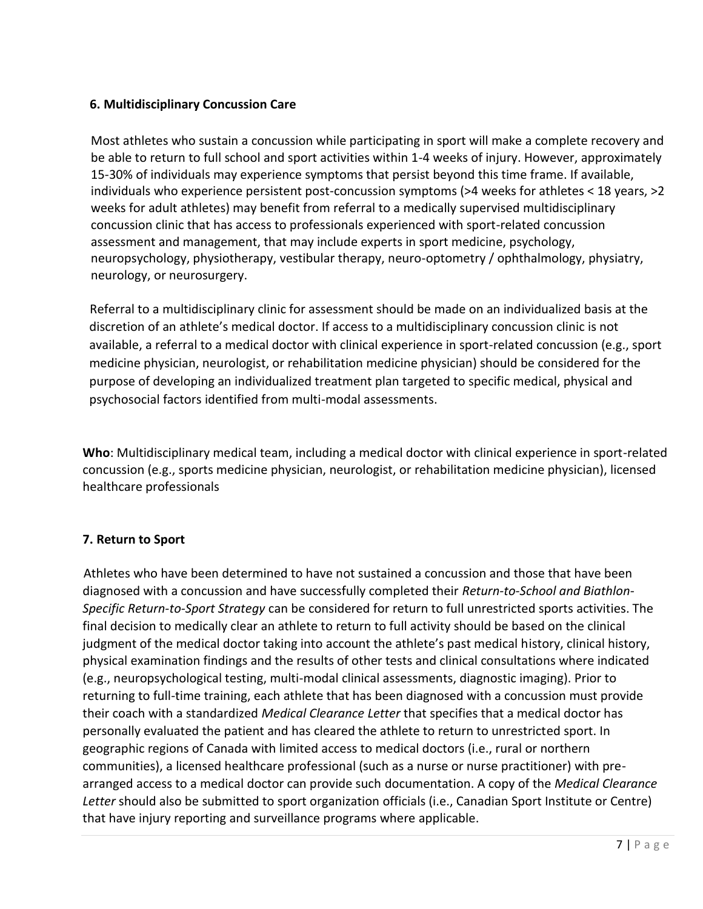## **6. Multidisciplinary Concussion Care**

Most athletes who sustain a concussion while participating in sport will make a complete recovery and be able to return to full school and sport activities within 1-4 weeks of injury. However, approximately 15-30% of individuals may experience symptoms that persist beyond this time frame. If available, individuals who experience persistent post-concussion symptoms (>4 weeks for athletes < 18 years, >2 weeks for adult athletes) may benefit from referral to a medically supervised multidisciplinary concussion clinic that has access to professionals experienced with sport-related concussion assessment and management, that may include experts in sport medicine, psychology, neuropsychology, physiotherapy, vestibular therapy, neuro-optometry / ophthalmology, physiatry, neurology, or neurosurgery.

Referral to a multidisciplinary clinic for assessment should be made on an individualized basis at the discretion of an athlete's medical doctor. If access to a multidisciplinary concussion clinic is not available, a referral to a medical doctor with clinical experience in sport-related concussion (e.g., sport medicine physician, neurologist, or rehabilitation medicine physician) should be considered for the purpose of developing an individualized treatment plan targeted to specific medical, physical and psychosocial factors identified from multi-modal assessments.

**Who**: Multidisciplinary medical team, including a medical doctor with clinical experience in sport-related concussion (e.g., sports medicine physician, neurologist, or rehabilitation medicine physician), licensed healthcare professionals

# **7. Return to Sport**

 Athletes who have been determined to have not sustained a concussion and those that have been diagnosed with a concussion and have successfully completed their *Return-to-School and Biathlon-Specific Return-to-Sport Strategy* can be considered for return to full unrestricted sports activities. The final decision to medically clear an athlete to return to full activity should be based on the clinical judgment of the medical doctor taking into account the athlete's past medical history, clinical history, physical examination findings and the results of other tests and clinical consultations where indicated (e.g., neuropsychological testing, multi-modal clinical assessments, diagnostic imaging). Prior to returning to full-time training, each athlete that has been diagnosed with a concussion must provide their coach with a standardized *Medical Clearance Letter* that specifies that a medical doctor has personally evaluated the patient and has cleared the athlete to return to unrestricted sport. In geographic regions of Canada with limited access to medical doctors (i.e., rural or northern communities), a licensed healthcare professional (such as a nurse or nurse practitioner) with prearranged access to a medical doctor can provide such documentation. A copy of the *Medical Clearance Letter* should also be submitted to sport organization officials (i.e., Canadian Sport Institute or Centre) that have injury reporting and surveillance programs where applicable.